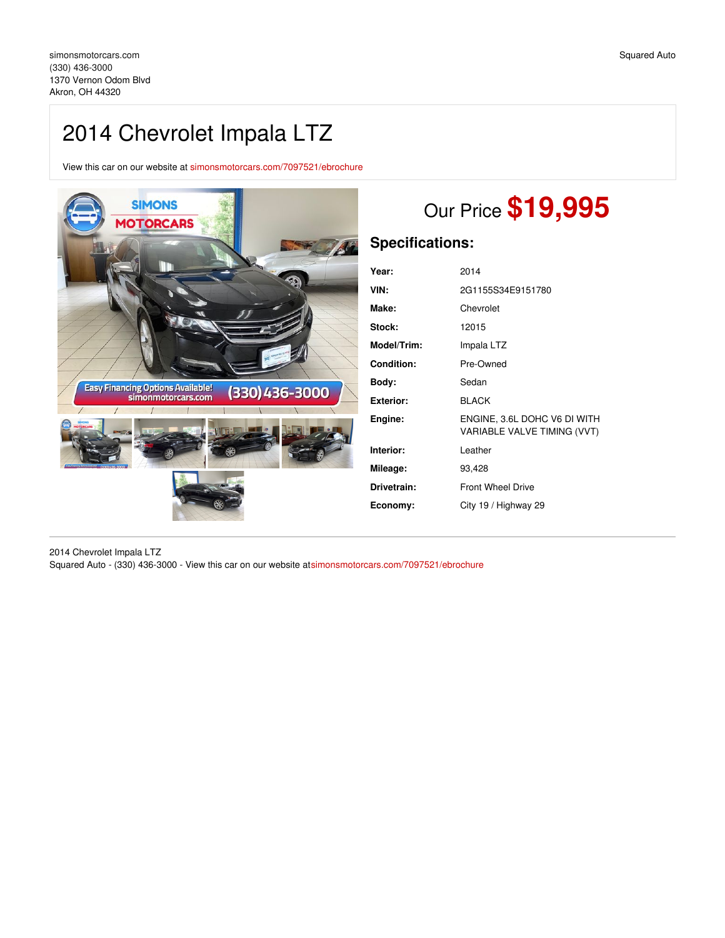# 2014 Chevrolet Impala LTZ

View this car on our website at [simonsmotorcars.com/7097521/ebrochure](https://simonsmotorcars.com/vehicle/7097521/2014-chevrolet-impala-ltz-akron-oh-44320/7097521/ebrochure)



# Our Price **\$19,995**

# **Specifications:**

| Year:              | 2014                                                        |
|--------------------|-------------------------------------------------------------|
| VIN:               | 2G1155S34E9151780                                           |
| Make:              | Chevrolet                                                   |
| Stock:             | 12015                                                       |
| <b>Model/Trim:</b> | Impala LTZ                                                  |
| <b>Condition:</b>  | Pre-Owned                                                   |
| Body:              | Sedan                                                       |
| Exterior:          | <b>BLACK</b>                                                |
| Engine:            | ENGINE, 3.6L DOHC V6 DI WITH<br>VARIABLE VALVE TIMING (VVT) |
| Interior:          | Leather                                                     |
| Mileage:           | 93,428                                                      |
| Drivetrain:        | <b>Front Wheel Drive</b>                                    |
| Economy:           | City 19 / Highway 29                                        |
|                    |                                                             |

2014 Chevrolet Impala LTZ Squared Auto - (330) 436-3000 - View this car on our website a[tsimonsmotorcars.com/7097521/ebrochure](https://simonsmotorcars.com/vehicle/7097521/2014-chevrolet-impala-ltz-akron-oh-44320/7097521/ebrochure)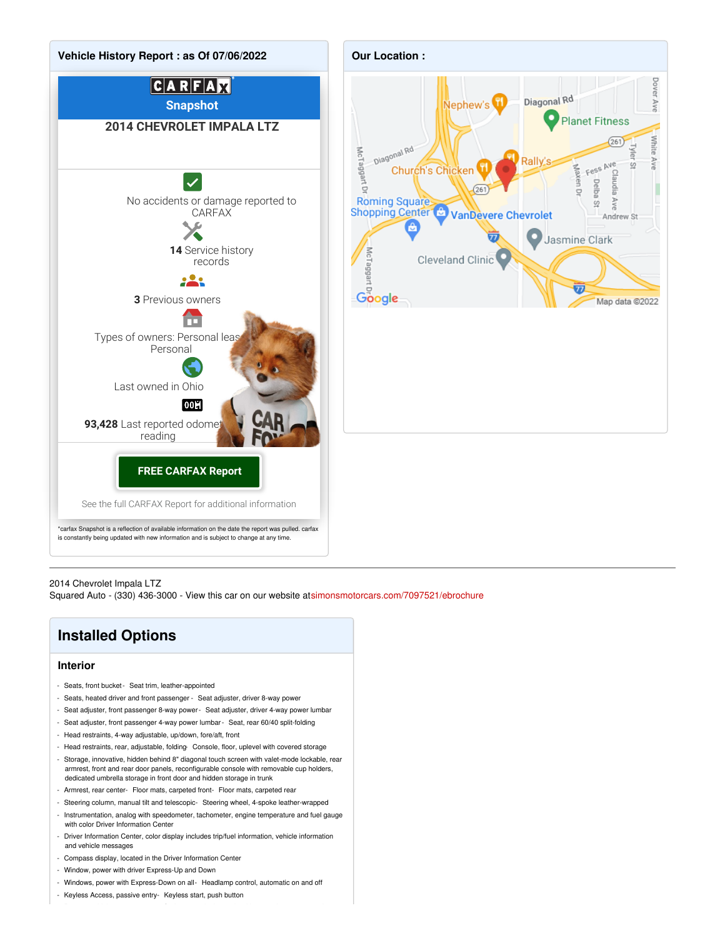

#### 2014 Chevrolet Impala LTZ

Squared Auto - (330) 436-3000 - View this car on our website a[tsimonsmotorcars.com/7097521/ebrochure](https://simonsmotorcars.com/vehicle/7097521/2014-chevrolet-impala-ltz-akron-oh-44320/7097521/ebrochure)

## **Installed Options**

#### **Interior**

- Seats, front bucket- Seat trim, leather-appointed
- Seats, heated driver and front passenger Seat adjuster, driver 8-way power
- Seat adjuster, front passenger 8-way power- Seat adjuster, driver 4-way power lumbar
- Seat adjuster, front passenger 4-way power lumbar- Seat, rear 60/40 split-folding
- Head restraints, 4-way adjustable, up/down, fore/aft, front
- Head restraints, rear, adjustable, folding- Console, floor, uplevel with covered storage
- Storage, innovative, hidden behind 8" diagonal touch screen with valet-mode lockable, rear armrest, front and rear door panels, reconfigurable console with removable cup holders, dedicated umbrella storage in front door and hidden storage in trunk
- Armrest, rear center- Floor mats, carpeted front- Floor mats, carpeted rear
- Steering column, manual tilt and telescopic- Steering wheel, 4-spoke leather-wrapped
- Instrumentation, analog with speedometer, tachometer, engine temperature and fuel gauge with color Driver Information Center
- Driver Information Center, color display includes trip/fuel information, vehicle information and vehicle messages
- Compass display, located in the Driver Information Center
- Window, power with driver Express-Up and Down
- Windows, power with Express-Down on all- Headlamp control, automatic on and off
- Keyless Access, passive entry- Keyless start, push button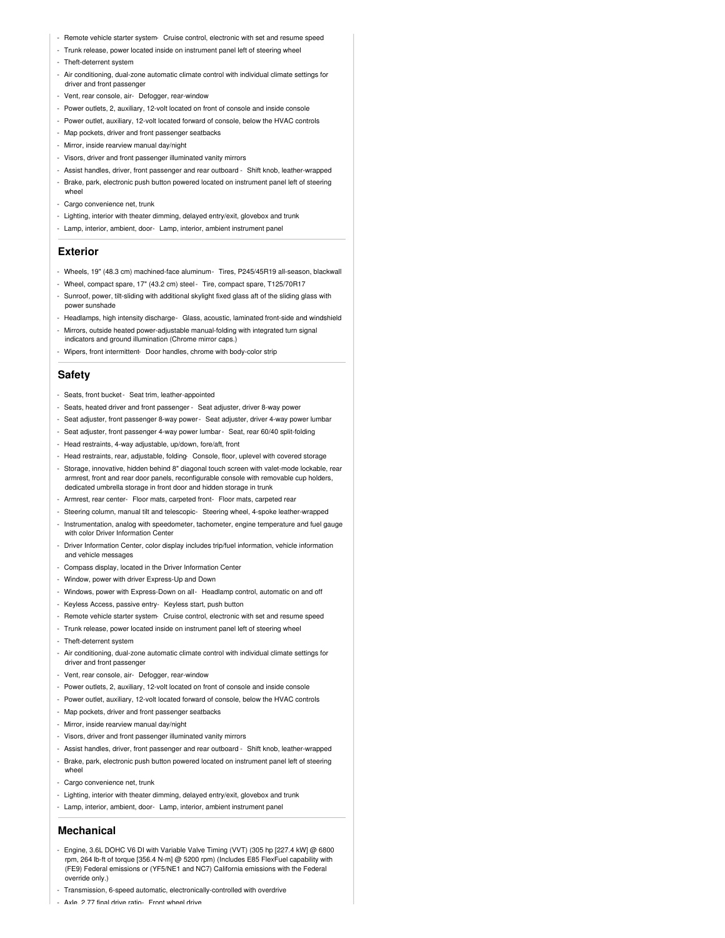- Remote vehicle starter system- Cruise control, electronic with set and resume speed
- Trunk release, power located inside on instrument panel left of steering wheel
- Theft-deterrent system
- Air conditioning, dual-zone automatic climate control with individual climate settings for driver and front passenger
- Vent, rear console, air- Defogger, rear-window
- Power outlets, 2, auxiliary, 12-volt located on front of console and inside console
- Power outlet, auxiliary, 12-volt located forward of console, below the HVAC controls
- Map pockets, driver and front passenger seatbacks
- Mirror, inside rearview manual day/night
- Visors, driver and front passenger illuminated vanity mirrors
- Assist handles, driver, front passenger and rear outboard Shift knob, leather-wrapped
- Brake, park, electronic push button powered located on instrument panel left of steering wheel
- Cargo convenience net, trunk
- Lighting, interior with theater dimming, delayed entry/exit, glovebox and trunk
- Lamp, interior, ambient, door- Lamp, interior, ambient instrument panel

#### **Exterior**

- Wheels, 19" (48.3 cm) machined-face aluminum- Tires, P245/45R19 all-season, blackwall
- Wheel, compact spare, 17" (43.2 cm) steel- Tire, compact spare, T125/70R17
- Sunroof, power, tilt-sliding with additional skylight fixed glass aft of the sliding glass with power sunshade
- Headlamps, high intensity discharge- Glass, acoustic, laminated front-side and windshield - Mirrors, outside heated power-adjustable manual-folding with integrated turn signal indicators and ground illumination (Chrome mirror caps.)
- Wipers, front intermittent- Door handles, chrome with body-color strip

#### **Safety**

- Seats, front bucket- Seat trim, leather-appointed
- Seats, heated driver and front passenger Seat adjuster, driver 8-way power
- Seat adjuster, front passenger 8-way power- Seat adjuster, driver 4-way power lumbar
- Seat adjuster, front passenger 4-way power lumbar- Seat, rear 60/40 split-folding
- Head restraints, 4-way adjustable, up/down, fore/aft, front
- Head restraints, rear, adjustable, folding- Console, floor, uplevel with covered storage
- Storage, innovative, hidden behind 8" diagonal touch screen with valet-mode lockable, rear armrest, front and rear door panels, reconfigurable console with removable cup holders, dedicated umbrella storage in front door and hidden storage in trunk
- Armrest, rear center- Floor mats, carpeted front- Floor mats, carpeted rear
- Steering column, manual tilt and telescopic- Steering wheel, 4-spoke leather-wrapped
- Instrumentation, analog with speedometer, tachometer, engine temperature and fuel gauge with color Driver Information Center
- Driver Information Center, color display includes trip/fuel information, vehicle information and vehicle messages
- Compass display, located in the Driver Information Center
- Window, power with driver Express-Up and Down
- Windows, power with Express-Down on all- Headlamp control, automatic on and off
- Keyless Access, passive entry- Keyless start, push button
- Remote vehicle starter system- Cruise control, electronic with set and resume speed
- Trunk release, power located inside on instrument panel left of steering wheel
- Theft-deterrent system
- Air conditioning, dual-zone automatic climate control with individual climate settings for driver and front passenger
- Vent, rear console, air- Defogger, rear-window
- Power outlets, 2, auxiliary, 12-volt located on front of console and inside console
- Power outlet, auxiliary, 12-volt located forward of console, below the HVAC controls
- Map pockets, driver and front passenger seatbacks
- Mirror, inside rearview manual day/night
- Visors, driver and front passenger illuminated vanity mirrors
- Assist handles, driver, front passenger and rear outboard Shift knob, leather-wrapped
- Brake, park, electronic push button powered located on instrument panel left of steering whee
- Cargo convenience net, trunk
- Lighting, interior with theater dimming, delayed entry/exit, glovebox and trunk
- Lamp, interior, ambient, door- Lamp, interior, ambient instrument panel

#### **Mechanical**

- Engine, 3.6L DOHC V6 DI with Variable Valve Timing (VVT) (305 hp [227.4 kW] @ 6800 rpm, 264 lb-ft of torque [356.4 N-m] @ 5200 rpm) (Includes E85 FlexFuel capability with (FE9) Federal emissions or (YF5/NE1 and NC7) California emissions with the Federal override only.)
- Transmission, 6-speed automatic, electronically-controlled with overdrive
- Axle, 2.77 final drive ratio- Front wheel drive